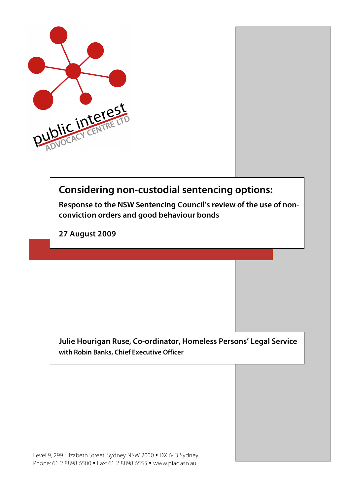

# **Considering non-custodial sentencing options:**

**Response to the NSW Sentencing Council's review of the use of nonconviction orders and good behaviour bonds**

**27 August 2009**

**Julie Hourigan Ruse, Co-ordinator, Homeless Persons' Legal Service with Robin Banks, Chief Executive Officer**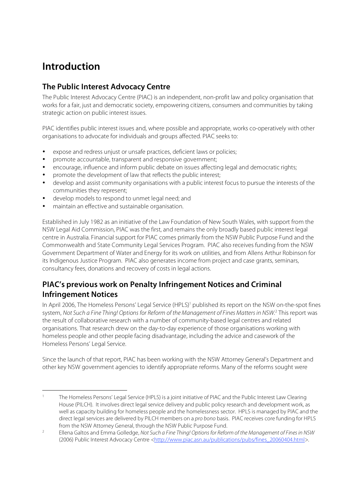# **Introduction**

## **The Public Interest Advocacy Centre**

The Public Interest Advocacy Centre (PIAC) is an independent, non-profit law and policy organisation that works for a fair, just and democratic society, empowering citizens, consumers and communities by taking strategic action on public interest issues.

PIAC identifies public interest issues and, where possible and appropriate, works co-operatively with other organisations to advocate for individuals and groups affected. PIAC seeks to:

- expose and redress unjust or unsafe practices, deficient laws or policies;
- promote accountable, transparent and responsive government;
- encourage, influence and inform public debate on issues affecting legal and democratic rights;
- promote the development of law that reflects the public interest;
- develop and assist community organisations with a public interest focus to pursue the interests of the communities they represent;
- develop models to respond to unmet legal need; and
- maintain an effective and sustainable organisation.

Established in July 1982 as an initiative of the Law Foundation of New South Wales, with support from the NSW Legal Aid Commission, PIAC was the first, and remains the only broadly based public interest legal centre in Australia. Financial support for PIAC comes primarily from the NSW Public Purpose Fund and the Commonwealth and State Community Legal Services Program. PIAC also receives funding from the NSW Government Department of Water and Energy for its work on utilities, and from Allens Arthur Robinson for its Indigenous Justice Program. PIAC also generates income from project and case grants, seminars, consultancy fees, donations and recovery of costs in legal actions.

## **PIAC's previous work on Penalty Infringement Notices and Criminal Infringement Notices**

In April 2006, The Homeless Persons' Legal Service (HPLS)<sup>1</sup> published its report on the NSW on-the-spot fines system, Not Such a Fine Thing! Options for Reform of the Management of Fines Matters in NSW.<sup>2</sup> This report was the result of collaborative research with a number of community-based legal centres and related organisations. That research drew on the day-to-day experience of those organisations working with homeless people and other people facing disadvantage, including the advice and casework of the Homeless Persons' Legal Service.

Since the launch of that report, PIAC has been working with the NSW Attorney General's Department and other key NSW government agencies to identify appropriate reforms. Many of the reforms sought were

 <sup>1</sup> The Homeless Persons' Legal Service (HPLS) is a joint initiative of PIAC and the Public Interest Law Clearing House (PILCH). It involves direct legal service delivery and public policy research and development work, as well as capacity building for homeless people and the homelessness sector. HPLS is managed by PIAC and the direct legal services are delivered by PILCH members on a pro bono basis. PIAC receives core funding for HPLS from the NSW Attorney General, through the NSW Public Purpose Fund.

<sup>&</sup>lt;sup>2</sup> Ellena Galtos and Emma Golledge, Not Such a Fine Thing! Options for Reform of the Management of Fines in NSW (2006) Public Interest Advocacy Centre <http://www.piac.asn.au/publications/pubs/fines\_20060404.html>.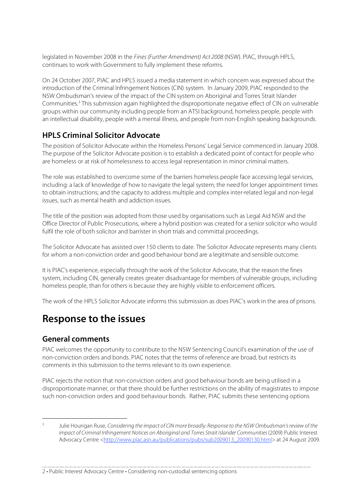legislated in November 2008 in the Fines (Further Amendment) Act 2008 (NSW). PIAC, through HPLS, continues to work with Government to fully implement these reforms.

On 24 October 2007, PIAC and HPLS issued a media statement in which concern was expressed about the introduction of the Criminal Infringement Notices (CIN) system. In January 2009, PIAC responded to the NSW Ombudsman's review of the impact of the CIN system on Aboriginal and Torres Strait Islander Communities.<sup>3</sup> This submission again highlighted the disproportionate negative effect of CIN on vulnerable groups within our community including people from an ATSI background, homeless people, people with an intellectual disability, people with a mental illness, and people from non-English speaking backgrounds.

## **HPLS Criminal Solicitor Advocate**

The position of Solicitor Advocate within the Homeless Persons' Legal Service commenced in January 2008. The purpose of the Solicitor Advocate position is to establish a dedicated point of contact for people who are homeless or at risk of homelessness to access legal representation in minor criminal matters.

The role was established to overcome some of the barriers homeless people face accessing legal services, including: a lack of knowledge of how to navigate the legal system; the need for longer appointment times to obtain instructions; and the capacity to address multiple and complex inter-related legal and non-legal issues, such as mental health and addiction issues.

The title of the position was adopted from those used by organisations such as Legal Aid NSW and the Office Director of Public Prosecutions, where a hybrid position was created for a senior solicitor who would fulfil the role of both solicitor and barrister in short trials and committal proceedings.

The Solicitor Advocate has assisted over 150 clients to date. The Solicitor Advocate represents many clients for whom a non-conviction order and good behaviour bond are a legitimate and sensible outcome.

It is PIAC's experience, especially through the work of the Solicitor Advocate, that the reason the fines system, including CIN, generally creates greater disadvantage for members of vulnerable groups, including homeless people, than for others is because they are highly visible to enforcement officers.

The work of the HPLS Solicitor Advocate informs this submission as does PIAC's work in the area of prisons.

## **Response to the issues**

## **General comments**

PIAC welcomes the opportunity to contribute to the NSW Sentencing Council's examination of the use of non-conviction orders and bonds. PIAC notes that the terms of reference are broad, but restricts its comments in this submission to the terms relevant to its own experience.

PIAC rejects the notion that non-conviction orders and good behaviour bonds are being utilised in a disproportionate manner, or that there should be further restrictions on the ability of magistrates to impose such non-conviction orders and good behaviour bonds. Rather, PIAC submits these sentencing options

Julie Hourigan Ruse, Considering the impact of CIN more broadly: Response to the NSW Ombudsman's review of the impact of Criminal Infringement Notices on Aboriginal and Torres Strait Islander Communities (2009) Public Interest Advocacy Centre <http://www.piac.asn.au/publications/pubs/sub2009013\_20090130.html> at 24 August 2009.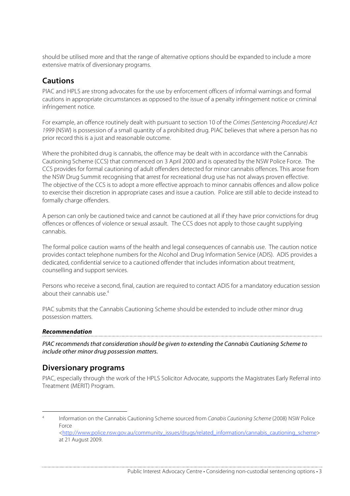should be utilised more and that the range of alternative options should be expanded to include a more extensive matrix of diversionary programs.

## **Cautions**

PIAC and HPLS are strong advocates for the use by enforcement officers of informal warnings and formal cautions in appropriate circumstances as opposed to the issue of a penalty infringement notice or criminal infringement notice.

For example, an offence routinely dealt with pursuant to section 10 of the Crimes (Sentencing Procedure) Act 1999 (NSW) is possession of a small quantity of a prohibited drug. PIAC believes that where a person has no prior record this is a just and reasonable outcome.

Where the prohibited drug is cannabis, the offence may be dealt with in accordance with the Cannabis Cautioning Scheme (CCS) that commenced on 3 April 2000 and is operated by the NSW Police Force. The CCS provides for formal cautioning of adult offenders detected for minor cannabis offences. This arose from the NSW Drug Summit recognising that arrest for recreational drug use has not always proven effective. The objective of the CCS is to adopt a more effective approach to minor cannabis offences and allow police to exercise their discretion in appropriate cases and issue a caution. Police are still able to decide instead to formally charge offenders.

A person can only be cautioned twice and cannot be cautioned at all if they have prior convictions for drug offences or offences of violence or sexual assault. The CCS does not apply to those caught supplying cannabis.

The formal police caution warns of the health and legal consequences of cannabis use. The caution notice provides contact telephone numbers for the Alcohol and Drug Information Service (ADIS). ADIS provides a dedicated, confidential service to a cautioned offender that includes information about treatment, counselling and support services.

Persons who receive a second, final, caution are required to contact ADIS for a mandatory education session about their cannabis use  $4$ 

PIAC submits that the Cannabis Cautioning Scheme should be extended to include other minor drug possession matters.

#### **Recommendation**

PIAC recommends that consideration should be given to extending the Cannabis Cautioning Scheme to include other minor drug possession matters.

## **Diversionary programs**

PIAC, especially through the work of the HPLS Solicitor Advocate, supports the Magistrates Early Referral into Treatment (MERIT) Program.

Information on the Cannabis Cautioning Scheme sourced from Canabis Cautioning Scheme (2008) NSW Police Force <http://www.police.nsw.gov.au/community\_issues/drugs/related\_information/cannabis\_cautioning\_scheme> at 21 August 2009.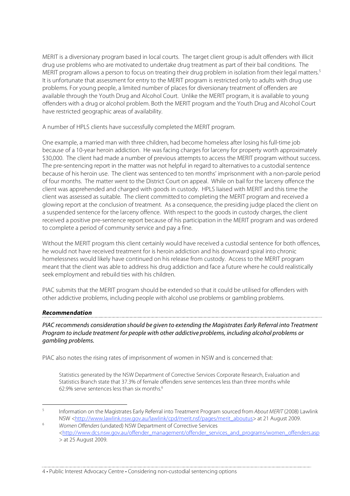MERIT is a diversionary program based in local courts. The target client group is adult offenders with illicit drug use problems who are motivated to undertake drug treatment as part of their bail conditions. The MERIT program allows a person to focus on treating their drug problem in isolation from their legal matters.<sup>5</sup> It is unfortunate that assessment for entry to the MERIT program is restricted only to adults with drug use problems. For young people, a limited number of places for diversionary treatment of offenders are available through the Youth Drug and Alcohol Court. Unlike the MERIT program, it is available to young offenders with a drug or alcohol problem. Both the MERIT program and the Youth Drug and Alcohol Court have restricted geographic areas of availability.

A number of HPLS clients have successfully completed the MERIT program.

One example, a married man with three children, had become homeless after losing his full-time job because of a 10-year heroin addiction. He was facing charges for larceny for property worth approximately \$30,000. The client had made a number of previous attempts to access the MERIT program without success. The pre-sentencing report in the matter was not helpful in regard to alternatives to a custodial sentence because of his heroin use. The client was sentenced to ten months' imprisonment with a non-parole period of four months. The matter went to the District Court on appeal. While on bail for the larceny offence the client was apprehended and charged with goods in custody. HPLS liaised with MERIT and this time the client was assessed as suitable. The client committed to completing the MERIT program and received a glowing report at the conclusion of treatment. As a consequence, the presiding judge placed the client on a suspended sentence for the larceny offence. With respect to the goods in custody charges, the client received a positive pre-sentence report because of his participation in the MERIT program and was ordered to complete a period of community service and pay a fine.

Without the MERIT program this client certainly would have received a custodial sentence for both offences, he would not have received treatment for is heroin addiction and his downward spiral into chronic homelessness would likely have continued on his release from custody. Access to the MERIT program meant that the client was able to address his drug addiction and face a future where he could realistically seek employment and rebuild ties with his children.

PIAC submits that the MERIT program should be extended so that it could be utilised for offenders with other addictive problems, including people with alcohol use problems or gambling problems.

#### **Recommendation**

PIAC recommends consideration should be given to extending the Magistrates Early Referral into Treatment Program to include treatment for people with other addictive problems, including alcohol problems or gambling problems.

PIAC also notes the rising rates of imprisonment of women in NSW and is concerned that:

Statistics generated by the NSW Department of Corrective Services Corporate Research, Evaluation and Statistics Branch state that 37.3% of female offenders serve sentences less than three months while 62.9% serve sentences less than six months.6

 <sup>5</sup> Information on the Magistrates Early Referral into Treatment Program sourced from About MERIT (2008) Lawlink NSW <http://www.lawlink.nsw.gov.au/lawlink/cpd/merit.nsf/pages/merit\_aboutus> at 21 August 2009.

<sup>6</sup> Women Offenders (undated) NSW Department of Corrective Services <http://www.dcs.nsw.gov.au/offender\_management/offender\_services\_and\_programs/women\_offenders.asp > at 25 August 2009.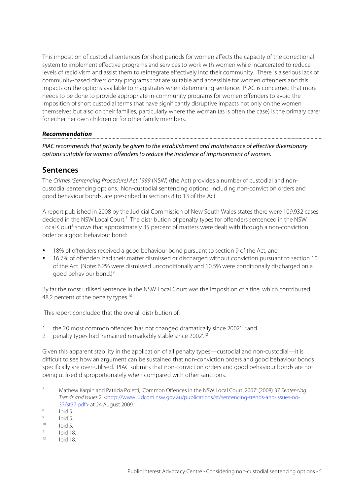This imposition of custodial sentences for short periods for women affects the capacity of the correctional system to implement effective programs and services to work with women while incarcerated to reduce levels of recidivism and assist them to reintegrate effectively into their community. There is a serious lack of community-based diversionary programs that are suitable and accessible for women offenders and this impacts on the options available to magistrates when determining sentence. PIAC is concerned that more needs to be done to provide appropriate in-community programs for women offenders to avoid the imposition of short custodial terms that have significantly disruptive impacts not only on the women themselves but also on their families, particularly where the woman (as is often the case) is the primary carer for either her own children or for other family members.

#### **Recommendation**

PIAC recommends that priority be given to the establishment and maintenance of effective diversionary options suitable for women offenders to reduce the incidence of imprisonment of women.

## **Sentences**

The Crimes (Sentencing Procedure) Act 1999 (NSW) (the Act) provides a number of custodial and noncustodial sentencing options. Non-custodial sentencing options, including non-conviction orders and good behaviour bonds, are prescribed in sections 8 to 13 of the Act.

A report published in 2008 by the Judicial Commission of New South Wales states there were 109,932 cases decided in the NSW Local Court.<sup>7</sup> The distribution of penalty types for offenders sentenced in the NSW Local Court<sup>8</sup> shows that approximately 35 percent of matters were dealt with through a non-conviction order or a good behaviour bond:

- 18% of offenders received a good behaviour bond pursuant to section 9 of the Act; and
- 16.7% of offenders had their matter dismissed or discharged without conviction pursuant to section 10 of the Act. (Note: 6.2% were dismissed unconditionally and 10.5% were conditionally discharged on a good behaviour bond.)<sup>9</sup>

By far the most utilised sentence in the NSW Local Court was the imposition of a fine, which contributed 48.2 percent of the penalty types.<sup>10</sup>

This report concluded that the overall distribution of:

- 1. the 20 most common offences 'has not changed dramatically since 2002'11; and
- 2. penalty types had 'remained remarkably stable since 2002'.<sup>12</sup>

Given this apparent stability in the application of all penalty types—custodial and non-custodial—it is difficult to see how an argument can be sustained that non-conviction orders and good behaviour bonds specifically are over-utilised. PIAC submits that non-conviction orders and good behaviour bonds are not being utilised disproportionately when compared with other sanctions.

- $\frac{9}{10}$  Ibid 5.
- $10$  Ibid 5.
- $11$  Ibid 18. <sup>12</sup> Ibid 18.

 <sup>7</sup> Mathew Karpin and Patrizia Poletti, 'Common Offences in the NSW Local Court: 2007' (2008) 37 Sentencing Trends and Issues 2, <http://www.judcom.nsw.gov.au/publications/st/sentencing-trends-and-issues-no- $\frac{37}{150}$  at 24 August 2009.<br>  $\frac{8}{150}$  Ibid 5.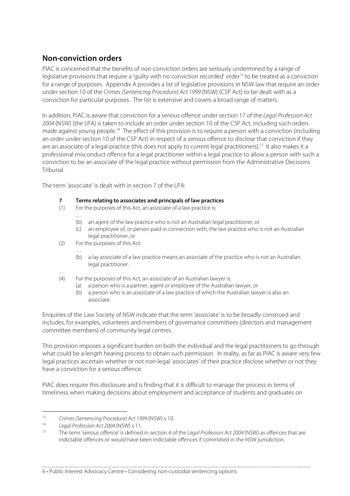## **Non-conviction orders**

PIAC is concerned that the benefits of non-conviction orders are seriously undermined by a range of legislative provisions that require a 'quilty with no conviction recorded' order<sup>13</sup> to be treated as a conviction for a range of purposes. Appendix A provides a list of legislative provisions in NSW law that require an order under section 10 of the Crimes (Sentencing Procedure) Act 1999 (NSW) (CSP Act) to be dealt with as a conviction for particular purposes. The list is extensive and covers a broad range of matters.

In addition, PIAC is aware that conviction for a serious offence under section 17 of the Legal Profession Act 2004 (NSW) (the LPA) is taken to include an order under section 10 of the CSP Act, including such orders made against young people.<sup>14</sup> The effect of this provision is to require a person with a conviction (including an order under section 10 of the CSP Act) in respect of a serious offence to disclose that conviction if they are an associate of a legal practice (this does not apply to current legal practitioners).<sup>15</sup> It also makes it a professional misconduct offence for a legal practitioner within a legal practice to allow a person with such a conviction to be an associate of the legal practice without permission from the Administrative Decisions Tribunal.

The term 'associate' is dealt with in section 7 of the LPA:

# **7 Terms relating to associates and principals of law practices**<br>(1) For the purposes of this Act, an associate of a law practice is:

- For the purposes of this Act, an associate of a law practice is:
	- (b) an agent of the law practice who is not an Australian legal practitioner, or
	- (c) an employee of, or person paid in connection with, the law practice who is not an Australian legal practitioner, or
- (2) For the purposes of this Act:

 $\mathbb{R}^2$ 

- … (b) a lay associate of a law practice means an associate of the practice who is not an Australian legal practitioner.
- … (4) For the purposes of this Act, an associate of an Australian lawyer is:
	- (a) a person who is a partner, agent or employee of the Australian lawyer, or
	- (b) a person who is an associate of a law practice of which the Australian lawyer is also an associate.

Enquiries of the Law Society of NSW indicate that the term 'associate' is to be broadly construed and includes, for examples, volunteers and members of governance committees (directors and management committee members) of community legal centres.

This provision imposes a significant burden on both the individual and the legal practitioners to go through what could be a length hearing process to obtain such permission. In reality, as far as PIAC is aware very few legal practices ascertain whether or not non-legal 'associates' of their practice disclose whether or not they have a conviction for a serious offence.

PIAC does require this disclosure and is finding that it is difficult to manage the process in terms of timeliness when making decisions about employment and acceptance of students and graduates on

<sup>13</sup> Crimes (Sentencing Procedure) Act 1999 (NSW) s 10.

<sup>&</sup>lt;sup>14</sup> Legal Profession Act 2004 (NSW) s 11.

The term 'serious offence' is defined in section 4 of the Legal Profession Act 2004 (NSW) as offences that are indictable offences or would have been indictable offences if committed in the NSW jurisdiction.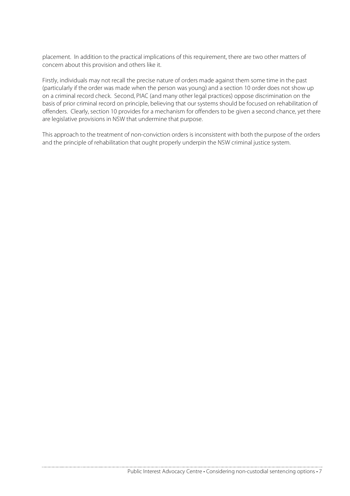placement. In addition to the practical implications of this requirement, there are two other matters of concern about this provision and others like it.

Firstly, individuals may not recall the precise nature of orders made against them some time in the past (particularly if the order was made when the person was young) and a section 10 order does not show up on a criminal record check. Second, PIAC (and many other legal practices) oppose discrimination on the basis of prior criminal record on principle, believing that our systems should be focused on rehabilitation of offenders. Clearly, section 10 provides for a mechanism for offenders to be given a second chance, yet there are legislative provisions in NSW that undermine that purpose.

This approach to the treatment of non-conviction orders is inconsistent with both the purpose of the orders and the principle of rehabilitation that ought properly underpin the NSW criminal justice system.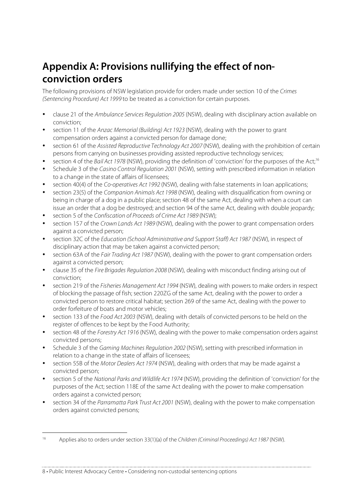# **Appendix A: Provisions nullifying the effect of nonconviction orders**

The following provisions of NSW legislation provide for orders made under section 10 of the Crimes (Sentencing Procedure) Act 1999 to be treated as a conviction for certain purposes.

- clause 21 of the Ambulance Services Regulation 2005 (NSW), dealing with disciplinary action available on conviction;
- section 11 of the Anzac Memorial (Building) Act 1923 (NSW), dealing with the power to grant compensation orders against a convicted person for damage done;
- section 61 of the Assisted Reproductive Technology Act 2007 (NSW), dealing with the prohibition of certain persons from carrying on businesses providing assisted reproductive technology services;
- section 4 of the Bail Act 1978 (NSW), providing the definition of 'conviction' for the purposes of the Act;<sup>16</sup>
- Schedule 3 of the Casino Control Regulation 2001 (NSW), setting with prescribed information in relation to a change in the state of affairs of licensees;
- section 40(4) of the Co-operatives Act 1992 (NSW), dealing with false statements in loan applications;
- section 23(5) of the Companion Animals Act 1998 (NSW), dealing with disqualification from owning or being in charge of a dog in a public place; section 48 of the same Act, dealing with when a court can issue an order that a dog be destroyed; and section 94 of the same Act, dealing with double jeopardy;
- section 5 of the Confiscation of Proceeds of Crime Act 1989 (NSW);
- section 157 of the Crown Lands Act 1989 (NSW), dealing with the power to grant compensation orders against a convicted person;
- section 32C of the Education (School Administrative and Support Staff) Act 1987 (NSW), in respect of disciplinary action that may be taken against a convicted person;
- section 63A of the Fair Trading Act 1987 (NSW), dealing with the power to grant compensation orders against a convicted person;
- clause 35 of the Fire Brigades Regulation 2008 (NSW), dealing with misconduct finding arising out of conviction;
- section 219 of the Fisheries Management Act 1994 (NSW), dealing with powers to make orders in respect of blocking the passage of fish; section 220ZG of the same Act, dealing with the power to order a convicted person to restore critical habitat; section 269 of the same Act, dealing with the power to order forfeiture of boats and motor vehicles;
- section 133 of the Food Act 2003 (NSW), dealing with details of convicted persons to be held on the register of offences to be kept by the Food Authority;
- section 48 of the Forestry Act 1916 (NSW), dealing with the power to make compensation orders against convicted persons;
- Schedule 3 of the Gaming Machines Regulation 2002 (NSW), setting with prescribed information in relation to a change in the state of affairs of licensees;
- section 55B of the Motor Dealers Act 1974 (NSW), dealing with orders that may be made against a convicted person;
- section 5 of the National Parks and Wildlife Act 1974 (NSW), providing the definition of 'conviction' for the purposes of the Act; section 118E of the same Act dealing with the power to make compensation orders against a convicted person;
- section 34 of the Parramatta Park Trust Act 2001 (NSW), dealing with the power to make compensation orders against convicted persons;

 <sup>16</sup> Applies also to orders under section 33(1)(a) of the Children (Criminal Proceedings) Act 1987 (NSW).